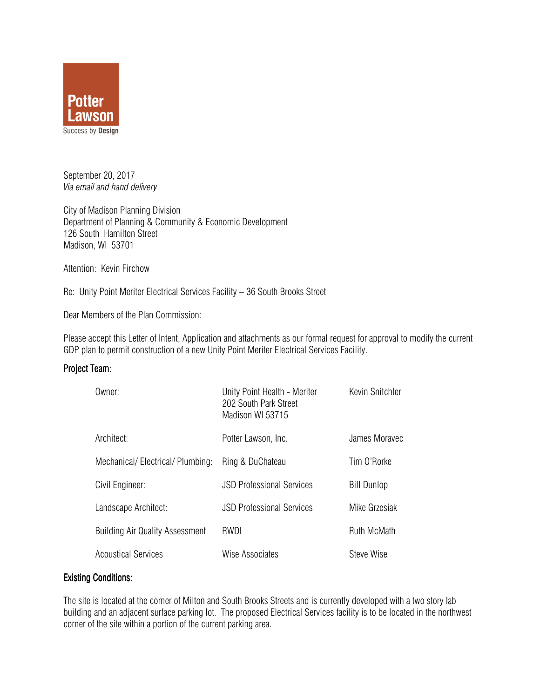

September 20, 2017 Via email and hand delivery

City of Madison Planning Division Department of Planning & Community & Economic Development 126 South Hamilton Street Madison, WI 53701

Attention: Kevin Firchow

Re: Unity Point Meriter Electrical Services Facility – 36 South Brooks Street

Dear Members of the Plan Commission:

Please accept this Letter of Intent, Application and attachments as our formal request for approval to modify the current GDP plan to permit construction of a new Unity Point Meriter Electrical Services Facility.

#### Project Team:

| Owner:                                 | Unity Point Health - Meriter<br>202 South Park Street<br>Madison WI 53715 | Kevin Snitchler    |
|----------------------------------------|---------------------------------------------------------------------------|--------------------|
| Architect:                             | Potter Lawson, Inc.                                                       | James Moravec      |
| Mechanical/Electrical/Plumbing:        | Ring & DuChateau                                                          | Tim O'Rorke        |
| Civil Engineer:                        | <b>JSD Professional Services</b>                                          | <b>Bill Dunlop</b> |
| Landscape Architect:                   | <b>JSD Professional Services</b>                                          | Mike Grzesiak      |
| <b>Building Air Quality Assessment</b> | RWDI                                                                      | Ruth McMath        |
| <b>Acoustical Services</b>             | Wise Associates                                                           | Steve Wise         |

## **Existing Conditions:**

The site is located at the corner of Milton and South Brooks Streets and is currently developed with a two story lab building and an adjacent surface parking lot. The proposed Electrical Services facility is to be located in the northwest corner of the site within a portion of the current parking area.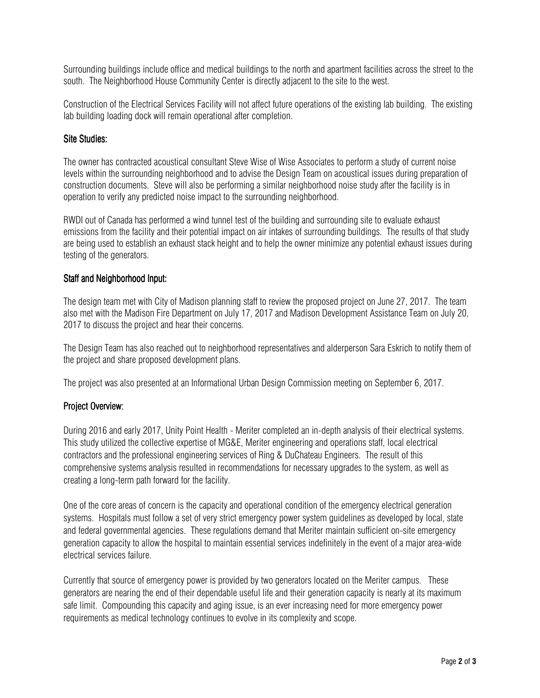Surrounding buildings include office and medical buildings to the north and apartment facilities across the street to the south. The Neighborhood House Community Center is directly adjacent to the site to the west.

Construction of the Electrical Services Facility will not affect future operations of the existing lab building. The existing lab building loading dock will remain operational after completion.

# **Site Studies:**

The owner has contracted acoustical consultant Steve Wise of Wise Associates to perform a study of current noise levels within the surrounding neighborhood and to advise the Design Team on acoustical issues during preparation of construction documents. Steve will also be performing a similar neighborhood noise study after the facility is in operation to verify any predicted noise impact to the surrounding neighborhood.

RWDI out of Canada has performed a wind tunnel test of the building and surrounding site to evaluate exhaust emissions from the facility and their potential impact on air intakes of surrounding buildings. The results of that study are being used to establish an exhaust stack height and to help the owner minimize any potential exhaust issues during testing of the generators.

## Staff and Neighborhood Input:

The design team met with City of Madison planning staff to review the proposed project on June 27, 2017. The team also met with the Madison Fire Department on July 17, 2017 and Madison Development Assistance Team on July 20, 2017 to discuss the project and hear their concerns.

The Design Team has also reached out to neighborhood representatives and alderperson Sara Eskrich to notify them of the project and share proposed development plans.

The project was also presented at an Informational Urban Design Commission meeting on September 6, 2017.

## Project Overview:

During 2016 and early 2017, Unity Point Health - Meriter completed an in-depth analysis of their electrical systems. This study utilized the collective expertise of MG&E, Meriter engineering and operations staff, local electrical contractors and the professional engineering services of Ring & DuChateau Engineers. The result of this comprehensive systems analysis resulted in recommendations for necessary upgrades to the system, as well as creating a long-term path forward for the facility.

One of the core areas of concern is the capacity and operational condition of the emergency electrical generation systems. Hospitals must follow a set of very strict emergency power system guidelines as developed by local, state and federal governmental agencies. These regulations demand that Meriter maintain sufficient on-site emergency generation capacity to allow the hospital to maintain essential services indefinitely in the event of a major area-wide electrical services failure.

Currently that source of emergency power is provided by two generators located on the Meriter campus. These generators are nearing the end of their dependable useful life and their generation capacity is nearly at its maximum safe limit. Compounding this capacity and aging issue, is an ever increasing need for more emergency power requirements as medical technology continues to evolve in its complexity and scope.